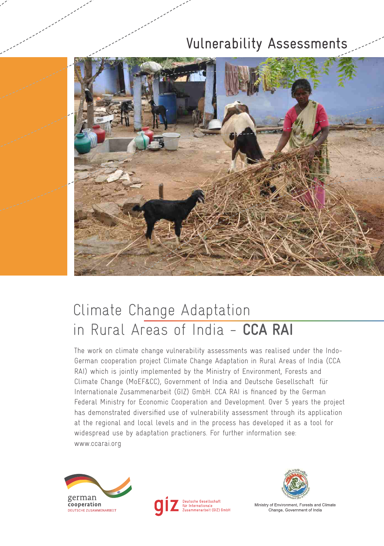# Vulnerability Assessments



# Climate Change Adaptation in Rural Areas of India - **CCA RAI**

The work on climate change vulnerability assessments was realised under the Indo-German cooperation project Climate Change Adaptation in Rural Areas of India (CCA RAI) which is jointly implemented by the Ministry of Environment, Forests and Climate Change (MoEF&CC), Government of India and Deutsche Gesellschaft für Internationale Zusammenarbeit (GIZ) GmbH. CCA RAI is financed by the German Federal Ministry for Economic Cooperation and Development. Over 5 years the project has demonstrated diversified use of vulnerability assessment through its application at the regional and local levels and in the process has developed it as a tool for widespread use by adaptation practioners. For further information see: www.ccarai.org







Ministry of Environment, Forests and Climate Change, Government of India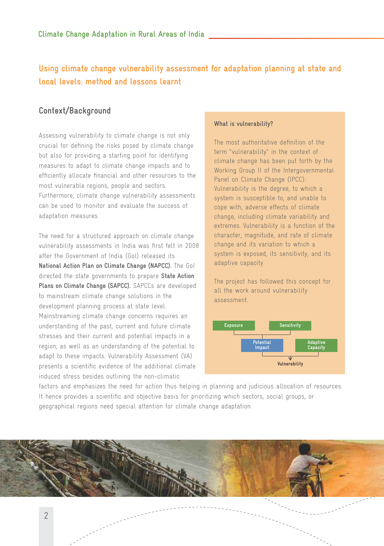## **Using climate change vulnerability assessment for adaptation planning at state and local levels: method and lessons learnt**

## **Context/Background**

Assessing vulnerability to climate change is not only crucial for defining the risks posed by climate change but also for providing a starting point for identifying measures to adapt to climate change impacts and to efficiently allocate financial and other resources to the most vulnerable regions, people and sectors. Furthermore, climate change vulnerability assessments can be used to monitor and evaluate the success of adaptation measures.

The need for a structured approach on climate change vulnerability assessments in India was first felt in 2008 after the Government of India (GoI) released its **National Action Plan on Climate Change (NAPCC).** The GoI directed the state governments to prepare **State Action Plans on Climate Change (SAPCC).** SAPCCs are developed to mainstream climate change solutions in the development planning process at state level. Mainstreaming climate change concerns requires an understanding of the past, current and future climate stresses and their current and potential impacts in a region; as well as an understanding of the potential to adapt to these impacts. Vulnerability Assessment (VA) presents a scientific evidence of the additional climate induced stress besides outlining the non-climatic

#### **What is vulnerability?**

The most authoritative definition of the term "vulnerability" in the context of climate change has been put forth by the Working Group II of the Intergovernmental Panel on Climate Change (IPCC): Vulnerability is the degree, to which a system is susceptible to, and unable to cope with, adverse effects of climate change, including climate variability and extremes. Vulnerability is a function of the character, magnitude, and rate of climate change and its variation to which a system is exposed, its sensitivity, and its adaptive capacity.

The project has followed this concept for all the work around vulnerability assessment.



factors and emphasizes the need for action thus helping in planning and judicious allocation of resources. It hence provides a scientific and objective basis for prioritizing which sectors, social groups, or geographical regions need special attention for climate change adaptation.

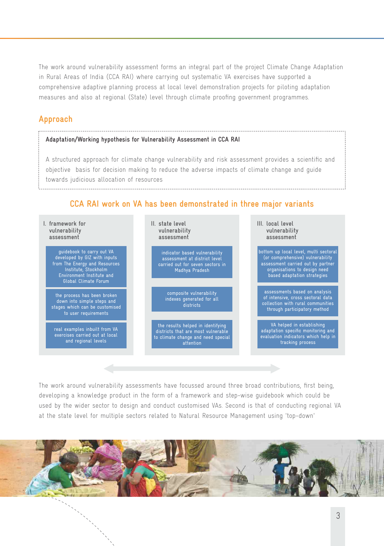The work around vulnerability assessment forms an integral part of the project Climate Change Adaptation in Rural Areas of India (CCA RAI) where carrying out systematic VA exercises have supported a comprehensive adaptive planning process at local level demonstration projects for piloting adaptation measures and also at regional (State) level through climate proofing government programmes.

## **Approach**

#### **Adaptation/Working hypothesis for Vulnerability Assessment in CCA RAI**

A structured approach for climate change vulnerability and risk assessment provides a scientific and objective basis for decision making to reduce the adverse impacts of climate change and guide towards judicious allocation of resources

#### **CCA RAI work on VA has been demonstrated in three major variants**



The work around vulnerability assessments have focussed around three broad contributions, first being, developing a knowledge product in the form of a framework and step-wise guidebook which could be used by the wider sector to design and conduct customised VAs. Second is that of conducting regional VA at the state level for multiple sectors related to Natural Resource Management using 'top-down'

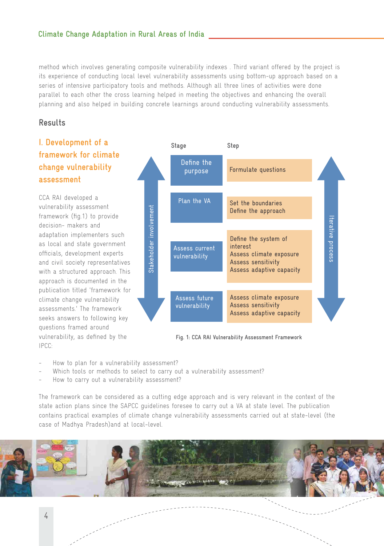method which involves generating composite vulnerability indexes . Third variant offered by the project is its experience of conducting local level vulnerability assessments using bottom-up approach based on a series of intensive participatory tools and methods. Although all three lines of activities were done parallel to each other the cross learning helped in meeting the objectives and enhancing the overall planning and also helped in building concrete learnings around conducting vulnerability assessments.

### **Results**

## **I. Development of a framework for climate change vulnerability assessment**

CCA RAI developed a vulnerability assessment framework (fig.1) to provide decision- makers and adaptation implementers such as local and state government officials, development experts and civil society representatives with a structured approach. This approach is documented in the publication titled 'framework for climate change vulnerability assessments.' The framework seeks answers to following key questions framed around vulnerability, as defined by the IPCC:



**Fig. 1: CCA RAI Vulnerability Assessment Framework** 

- How to plan for a vulnerability assessment?
- Which tools or methods to select to carry out a vulnerability assessment?
- How to carry out a vulnerability assessment?

The framework can be considered as a cutting edge approach and is very relevant in the context of the state action plans since the SAPCC guidelines foresee to carry out a VA at state level. The publication contains practical examples of climate change vulnerability assessments carried out at state-level (the case of Madhya Pradesh)and at local-level.

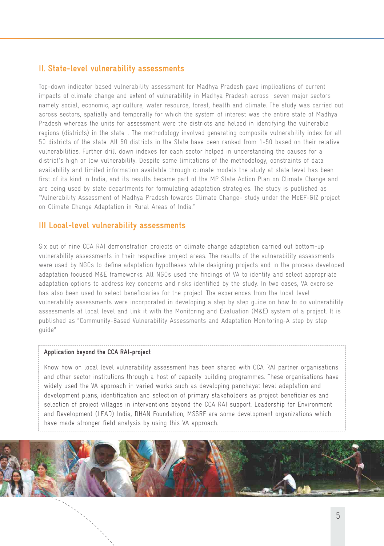### **II. State-level vulnerability assessments**

Top-down indicator based vulnerability assessment for Madhya Pradesh gave implications of current impacts of climate change and extent of vulnerability in Madhya Pradesh across seven major sectors namely social, economic, agriculture, water resource, forest, health and climate. The study was carried out across sectors, spatially and temporally for which the system of interest was the entire state of Madhya Pradesh whereas the units for assessment were the districts and helped in identifying the vulnerable regions (districts) in the state. . The methodology involved generating composite vulnerability index for all 50 districts of the state. All 50 districts in the State have been ranked from 1-50 based on their relative vulnerabilities. Further drill down indexes for each sector helped in understanding the causes for a district's high or low vulnerability. Despite some limitations of the methodology, constraints of data availability and limited information available through climate models the study at state level has been first of its kind in India, and its results became part of the MP State Action Plan on Climate Change and are being used by state departments for formulating adaptation strategies. The study is published as "Vulnerability Assessment of Madhya Pradesh towards Climate Change- study under the MoEF-GIZ project on Climate Change Adaptation in Rural Areas of India."

#### **III Local-level vulnerability assessments**

Six out of nine CCA RAI demonstration projects on climate change adaptation carried out bottom-up vulnerability assessments in their respective project areas. The results of the vulnerability assessments were used by NGOs to define adaptation hypotheses while designing projects and in the process developed adaptation focused M&E frameworks. All NGOs used the findings of VA to identify and select appropriate adaptation options to address key concerns and risks identified by the study. In two cases, VA exercise has also been used to select beneficiaries for the project. The experiences from the local level vulnerability assessments were incorporated in developing a step by step guide on how to do vulnerability assessments at local level and link it with the Monitoring and Evaluation (M&E) system of a project. It is published as "Community-Based Vulnerability Assessments and Adaptation Monitoring-A step by step guide"

#### **Application beyond the CCA RAI-project**

Know how on local level vulnerability assessment has been shared with CCA RAI partner organisations and other sector institutions through a host of capacity building programmes. These organisations have widely used the VA approach in varied works such as developing panchayat level adaptation and development plans, identification and selection of primary stakeholders as project beneficiaries and selection of project villages in interventions beyond the CCA RAI support. Leadership for Environment and Development (LEAD) India, DHAN Foundation, MSSRF are some development organizations which have made stronger field analysis by using this VA approach.

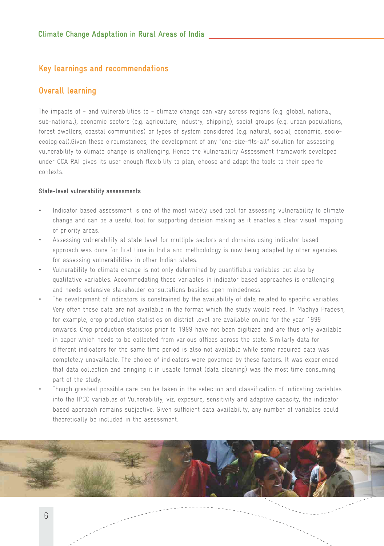### **Key learnings and recommendations**

## **Overall learning**

The impacts of - and vulnerabilities to - climate change can vary across regions (e.g. global, national, sub-national), economic sectors (e.g. agriculture, industry, shipping), social groups (e.g. urban populations, forest dwellers, coastal communities) or types of system considered (e.g. natural, social, economic, socioecological).Given these circumstances, the development of any "one-size-fits-all" solution for assessing vulnerability to climate change is challenging. Hence the Vulnerability Assessment framework developed under CCA RAI gives its user enough flexibility to plan, choose and adapt the tools to their specific contexts.

#### **State-level vulnerability assessments**

- Indicator based assessment is one of the most widely used tool for assessing vulnerability to climate change and can be a useful tool for supporting decision making as it enables a clear visual mapping of priority areas.
- Assessing vulnerability at state level for multiple sectors and domains using indicator based approach was done for first time in India and methodology is now being adapted by other agencies for assessing vulnerabilities in other Indian states.
- Vulnerability to climate change is not only determined by quantifiable variables but also by qualitative variables. Accommodating these variables in indicator based approaches is challenging and needs extensive stakeholder consultations besides open mindedness.
- The development of indicators is constrained by the availability of data related to specific variables. Very often these data are not available in the format which the study would need. In Madhya Pradesh, for example, crop production statistics on district level are available online for the year 1999 onwards. Crop production statistics prior to 1999 have not been digitized and are thus only available in paper which needs to be collected from various offices across the state. Similarly data for different indicators for the same time period is also not available while some required data was completely unavailable. The choice of indicators were governed by these factors. It was experienced that data collection and bringing it in usable format (data cleaning) was the most time consuming part of the study.
- Though greatest possible care can be taken in the selection and classification of indicating variables into the IPCC variables of Vulnerability, viz, exposure, sensitivity and adaptive capacity, the indicator based approach remains subjective. Given sufficient data availability, any number of variables could theoretically be included in the assessment.

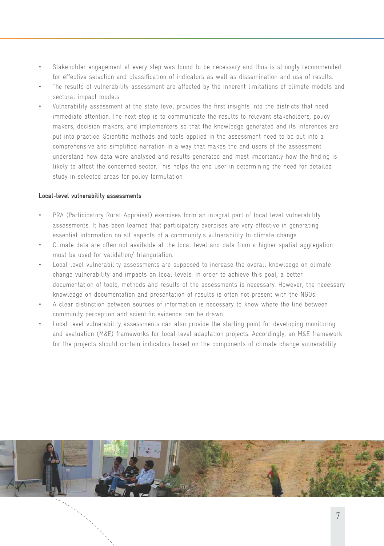- Stakeholder engagement at every step was found to be necessary and thus is strongly recommended for effective selection and classification of indicators as well as dissemination and use of results.
- The results of vulnerability assessment are affected by the inherent limitations of climate models and sectoral impact models.
- Vulnerability assessment at the state level provides the first insights into the districts that need immediate attention. The next step is to communicate the results to relevant stakeholders, policy makers, decision makers, and implementers so that the knowledge generated and its inferences are put into practice. Scientific methods and tools applied in the assessment need to be put into a comprehensive and simplified narration in a way that makes the end users of the assessment understand how data were analysed and results generated and most importantly how the finding is likely to affect the concerned sector. This helps the end user in determining the need for detailed study in selected areas for policy formulation.

#### **Local-level vulnerability assessments**

- PRA (Participatory Rural Appraisal) exercises form an integral part of local level vulnerability assessments. It has been learned that participatory exercises are very effective in generating essential information on all aspects of a community's vulnerability to climate change.
- Climate data are often not available at the local level and data from a higher spatial aggregation must be used for validation/ triangulation.
- Local level vulnerability assessments are supposed to increase the overall knowledge on climate change vulnerability and impacts on local levels. In order to achieve this goal, a better documentation of tools, methods and results of the assessments is necessary. However, the necessary knowledge on documentation and presentation of results is often not present with the NGOs.
- A clear distinction between sources of information is necessary to know where the line between community perception and scientific evidence can be drawn.
- Local level vulnerability assessments can also provide the starting point for developing monitoring and evaluation (M&E) frameworks for local level adaptation projects. Accordingly, an M&E framework for the projects should contain indicators based on the components of climate change vulnerability.